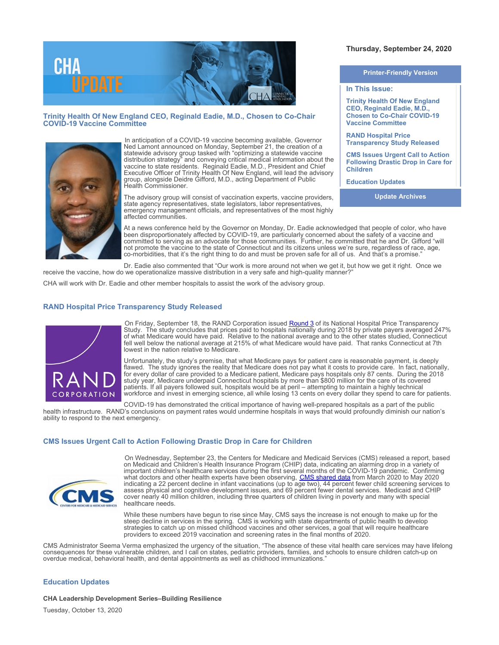

# **Trinity Health Of New England CEO, Reginald Eadie, M.D., Chosen to Co-Chair COVID-19 Vaccine Committee**



In anticipation of a COVID-19 vaccine becoming available, Governor Ned Lamont announced on Monday, September 21, the creation of a statewide advisory group tasked with "optimizing a statewide vaccine distribution strategy" and conveying critical medical information about the vaccine to state residents. Reginald Eadie, M.D., President and Chief Executive Officer of Trinity Health Of New England, will lead the advisory group, alongside Deidre Gifford, M.D., acting Department of Public Health Commissioner.

The advisory group will consist of vaccination experts, vaccine providers, state agency representatives, state legislators, labor representatives, emergency management officials, and representatives of the most highly affected communities.

At a news conference held by the Governor on Monday, Dr. Eadie acknowledged that people of color, who have been disproportionately affected by COVID-19, are particularly concerned about the safety of a vaccine and committed to serving as an advocate for those communities. Further, he committed that he and Dr. Gifford "will not promote the vaccine to the state of Connecticut and its citizens unless we're sure, regardless of race, age, co-morbidities, that it's the right thing to do and must be proven safe for all of us. And that's a promise."

Dr. Eadie also commented that "Our work is more around not when we get it, but how we get it right. Once we receive the vaccine, how do we operationalize massive distribution in a very safe and high-quality manner?

CHA will work with Dr. Eadie and other member hospitals to assist the work of the advisory group.

## **RAND Hospital Price Transparency Study Released**



On Friday, September 18, the RAND Corporation issued **[Round 3](https://www.rand.org/pubs/research_reports/RR4394.html)** of its National Hospital Price Transparency Study. The study concludes that prices paid to hospitals nationally during 2018 by private payers averaged 247% of what Medicare would have paid. Relative to the national average and to the other states studied, Connecticut fell well below the national average at 215% of what Medicare would have paid. That ranks Connecticut at 7th lowest in the nation relative to Medicare.

Unfortunately, the study's premise, that what Medicare pays for patient care is reasonable payment, is deeply flawed. The study ignores the reality that Medicare does not pay what it costs to provide care. In fact, nationally, for every dollar of care provided to a Medicare patient, Medicare pays hospitals only 87 cents. During the 2018 study year, Medicare underpaid Connecticut hospitals by more than \$800 million for the care of its covered patients. If all payers followed suit, hospitals would be at peril – attempting to maintain a highly technical workforce and invest in emerging science, all while losing 13 cents on every dollar they spend to care for patients.

COVID-19 has demonstrated the critical importance of having well-prepared hospitals as a part of the public health infrastructure. RAND's conclusions on payment rates would undermine hospitals in ways that would profoundly diminish our nation's ability to respond to the next emergency.

### **CMS Issues Urgent Call to Action Following Drastic Drop in Care for Children**



On Wednesday, September 23, the Centers for Medicare and Medicaid Services (CMS) released a report, based on Medicaid and Children's Health Insurance Program (CHIP) data, indicating an alarming drop in a variety of important children's healthcare services during the first several months of the COVID-19 pandemic. Confirming what doctors and other health experts have been observing, [CMS shared data](https://lnks.gd/l/eyJhbGciOiJIUzI1NiJ9.eyJidWxsZXRpbl9saW5rX2lkIjoxMDEsInVyaSI6ImJwMjpjbGljayIsImJ1bGxldGluX2lkIjoiMjAyMDA5MjMuMjc2Mjg5MDEiLCJ1cmwiOiJodHRwczovL3d3dy5tZWRpY2FpZC5nb3YvcmVzb3VyY2VzLWZvci1zdGF0ZXMvZG93bmxvYWRzL21lZGljYWlkLWNoaXAtYmVuZWZpY2lhcmllcy0xOC11bmRlci1DT1ZJRC0xOS1zbmFwc2hvdC1kYXRhLnBkZiJ9.cFq_KRhC6uqPynRqOsHFW3OLL_lf9LIxuMMoN_UEOcY/s/134073093/br/85855845484-l) from March 2020 to May 2020 indicating a 22 percent decline in infant vaccinations (up to age two), 44 percent fewer child screening services to assess physical and cognitive development issues, and 69 percent fewer dental services. Medicaid and CHIP cover nearly 40 million children, including three quarters of children living in poverty and many with special healthcare needs.

While these numbers have begun to rise since May, CMS says the increase is not enough to make up for the steep decline in services in the spring. CMS is working with state departments of public health to develop strategies to catch up on missed childhood vaccines and other services, a goal that will require healthcare providers to exceed 2019 vaccination and screening rates in the final months of 2020.

CMS Administrator Seema Verma emphasized the urgency of the situation, "The absence of these vital health care services may have lifelong consequences for these vulnerable children, and I call on states, pediatric providers, families, and schools to ensure children catch-up on overdue medical, behavioral health, and dental appointments as well as childhood immunizations."

#### **Education Updates**

**CHA Leadership Development Series–Building Resilience**

Tuesday, October 13, 2020

## **Thursday, September 24, 2020**

**Printer-Friendly Version**

### **In This Issue:**

**Trinity Health Of New England CEO, Reginald Eadie, M.D., Chosen to Co-Chair COVID-19 Vaccine Committee** 

**RAND Hospital Price Transparency Study Released**

**CMS Issues Urgent Call to Action Following Drastic Drop in Care for Children**

**Education Updates**

**Update Archives**